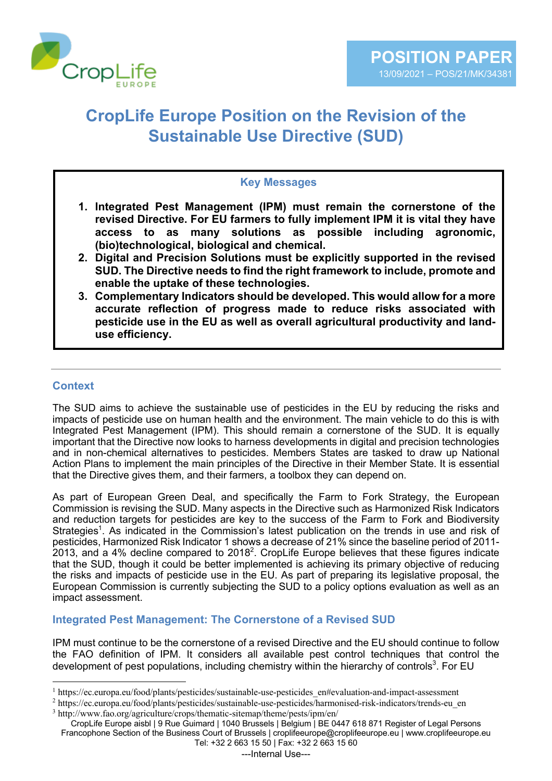

# **CropLife Europe Position on the Revision of the Sustainable Use Directive (SUD)**

#### **Key Messages**

- **1. Integrated Pest Management (IPM) must remain the cornerstone of the revised Directive. For EU farmers to fully implement IPM it is vital they have access to as many solutions as possible including agronomic, (bio)technological, biological and chemical.**
- **2. Digital and Precision Solutions must be explicitly supported in the revised SUD. The Directive needs to find the right framework to include, promote and enable the uptake of these technologies.**
- **3. Complementary Indicators should be developed. This would allow for a more accurate reflection of progress made to reduce risks associated with pesticide use in the EU as well as overall agricultural productivity and landuse efficiency.**

### **Context**

The SUD aims to achieve the sustainable use of pesticides in the EU by reducing the risks and impacts of pesticide use on human health and the environment. The main vehicle to do this is with Integrated Pest Management (IPM). This should remain a cornerstone of the SUD. It is equally important that the Directive now looks to harness developments in digital and precision technologies and in non-chemical alternatives to pesticides. Members States are tasked to draw up National Action Plans to implement the main principles of the Directive in their Member State. It is essential that the Directive gives them, and their farmers, a toolbox they can depend on.

As part of European Green Deal, and specifically the Farm to Fork Strategy, the European Commission is revising the SUD. Many aspects in the Directive such as Harmonized Risk Indicators and reduction targets for pesticides are key to the success of the Farm to Fork and Biodiversity Strategies<sup>1</sup>. As indicated in the Commission's latest publication on the trends in use and risk of pesticides, Harmonized Risk Indicator 1 shows a decrease of 21% since the baseline period of 2011- 2013, and a 4% decline compared to 2018<sup>2</sup>. CropLife Europe believes that these figures indicate that the SUD, though it could be better implemented is achieving its primary objective of reducing the risks and impacts of pesticide use in the EU. As part of preparing its legislative proposal, the European Commission is currently subjecting the SUD to a policy options evaluation as well as an impact assessment.

#### **Integrated Pest Management: The Cornerstone of a Revised SUD**

IPM must continue to be the cornerstone of a revised Directive and the EU should continue to follow the FAO definition of IPM. It considers all available pest control techniques that control the development of pest populations, including chemistry within the hierarchy of controls<sup>3</sup>. For EU

<sup>1</sup> https://ec.europa.eu/food/plants/pesticides/sustainable-use-pesticides\_en#evaluation-and-impact-assessment

<sup>2</sup> https://ec.europa.eu/food/plants/pesticides/sustainable-use-pesticides/harmonised-risk-indicators/trends-eu\_en <sup>3</sup> http://www.fao.org/agriculture/crops/thematic-sitemap/theme/pests/ipm/en/

CropLife Europe aisbl | 9 Rue Guimard | 1040 Brussels | Belgium | BE 0447 618 871 Register of Legal Persons Francophone Section of the Business Court of Brussels | croplifeeurope@croplifeeurope.eu | www.croplifeeurope.eu Tel: +32 2 663 15 50 | Fax: +32 2 663 15 60